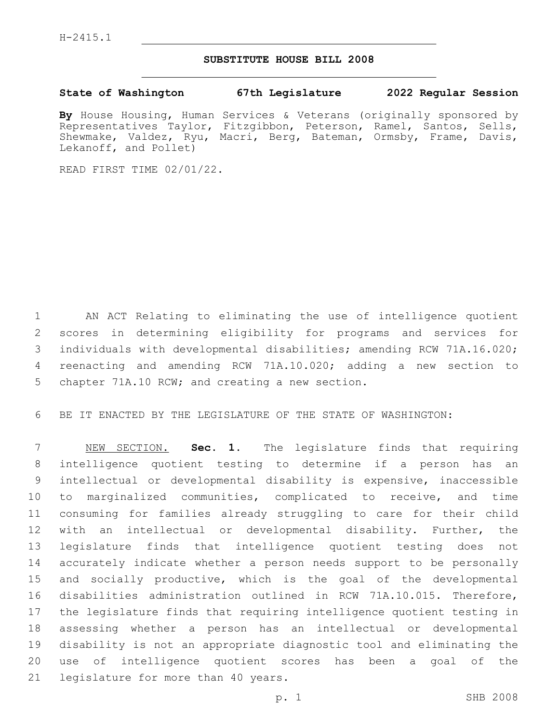## **SUBSTITUTE HOUSE BILL 2008**

## **State of Washington 67th Legislature 2022 Regular Session**

**By** House Housing, Human Services & Veterans (originally sponsored by Representatives Taylor, Fitzgibbon, Peterson, Ramel, Santos, Sells, Shewmake, Valdez, Ryu, Macri, Berg, Bateman, Ormsby, Frame, Davis, Lekanoff, and Pollet)

READ FIRST TIME 02/01/22.

 AN ACT Relating to eliminating the use of intelligence quotient scores in determining eligibility for programs and services for individuals with developmental disabilities; amending RCW 71A.16.020; reenacting and amending RCW 71A.10.020; adding a new section to 5 chapter 71A.10 RCW; and creating a new section.

BE IT ENACTED BY THE LEGISLATURE OF THE STATE OF WASHINGTON:

 NEW SECTION. **Sec. 1.** The legislature finds that requiring intelligence quotient testing to determine if a person has an intellectual or developmental disability is expensive, inaccessible to marginalized communities, complicated to receive, and time consuming for families already struggling to care for their child with an intellectual or developmental disability. Further, the legislature finds that intelligence quotient testing does not accurately indicate whether a person needs support to be personally and socially productive, which is the goal of the developmental disabilities administration outlined in RCW 71A.10.015. Therefore, the legislature finds that requiring intelligence quotient testing in assessing whether a person has an intellectual or developmental disability is not an appropriate diagnostic tool and eliminating the use of intelligence quotient scores has been a goal of the legislature for more than 40 years.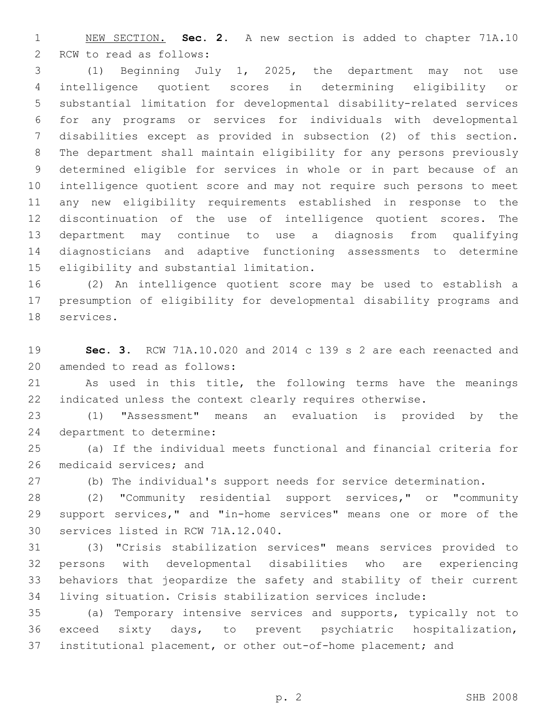NEW SECTION. **Sec. 2.** A new section is added to chapter 71A.10 2 RCW to read as follows:

 (1) Beginning July 1, 2025, the department may not use intelligence quotient scores in determining eligibility or substantial limitation for developmental disability-related services for any programs or services for individuals with developmental disabilities except as provided in subsection (2) of this section. The department shall maintain eligibility for any persons previously determined eligible for services in whole or in part because of an intelligence quotient score and may not require such persons to meet any new eligibility requirements established in response to the discontinuation of the use of intelligence quotient scores. The department may continue to use a diagnosis from qualifying diagnosticians and adaptive functioning assessments to determine 15 eligibility and substantial limitation.

 (2) An intelligence quotient score may be used to establish a presumption of eligibility for developmental disability programs and 18 services.

 **Sec. 3.** RCW 71A.10.020 and 2014 c 139 s 2 are each reenacted and 20 amended to read as follows:

 As used in this title, the following terms have the meanings indicated unless the context clearly requires otherwise.

 (1) "Assessment" means an evaluation is provided by the 24 department to determine:

 (a) If the individual meets functional and financial criteria for 26 medicaid services; and

(b) The individual's support needs for service determination.

 (2) "Community residential support services," or "community support services," and "in-home services" means one or more of the 30 services listed in RCW 71A.12.040.

 (3) "Crisis stabilization services" means services provided to persons with developmental disabilities who are experiencing behaviors that jeopardize the safety and stability of their current living situation. Crisis stabilization services include:

 (a) Temporary intensive services and supports, typically not to exceed sixty days, to prevent psychiatric hospitalization, institutional placement, or other out-of-home placement; and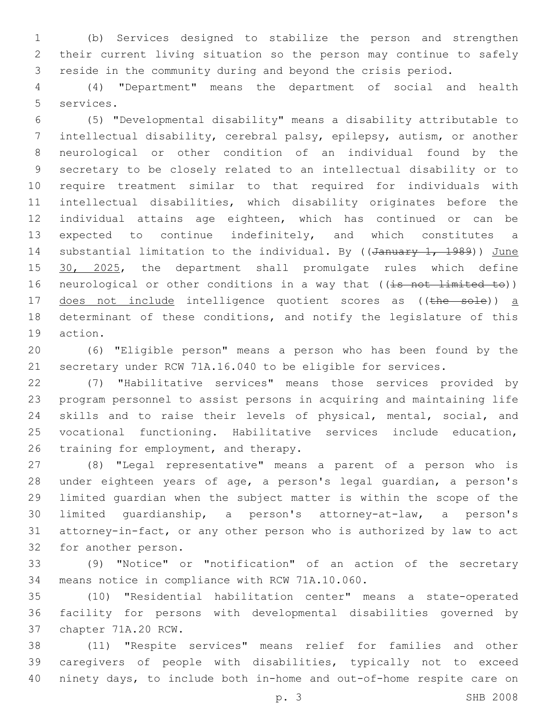(b) Services designed to stabilize the person and strengthen their current living situation so the person may continue to safely reside in the community during and beyond the crisis period.

 (4) "Department" means the department of social and health 5 services.

 (5) "Developmental disability" means a disability attributable to intellectual disability, cerebral palsy, epilepsy, autism, or another neurological or other condition of an individual found by the secretary to be closely related to an intellectual disability or to require treatment similar to that required for individuals with intellectual disabilities, which disability originates before the individual attains age eighteen, which has continued or can be 13 expected to continue indefinitely, and which constitutes a 14 substantial limitation to the individual. By ((January 1, 1989)) June 15 30, 2025, the department shall promulgate rules which define 16 neurological or other conditions in a way that ((is not limited to)) 17 does not include intelligence quotient scores as ((the sole)) a determinant of these conditions, and notify the legislature of this 19 action.

 (6) "Eligible person" means a person who has been found by the secretary under RCW 71A.16.040 to be eligible for services.

 (7) "Habilitative services" means those services provided by program personnel to assist persons in acquiring and maintaining life skills and to raise their levels of physical, mental, social, and vocational functioning. Habilitative services include education, 26 training for employment, and therapy.

 (8) "Legal representative" means a parent of a person who is under eighteen years of age, a person's legal guardian, a person's limited guardian when the subject matter is within the scope of the limited guardianship, a person's attorney-at-law, a person's attorney-in-fact, or any other person who is authorized by law to act 32 for another person.

 (9) "Notice" or "notification" of an action of the secretary 34 means notice in compliance with RCW 71A.10.060.

 (10) "Residential habilitation center" means a state-operated facility for persons with developmental disabilities governed by 37 chapter 71A.20 RCW.

 (11) "Respite services" means relief for families and other caregivers of people with disabilities, typically not to exceed ninety days, to include both in-home and out-of-home respite care on

p. 3 SHB 2008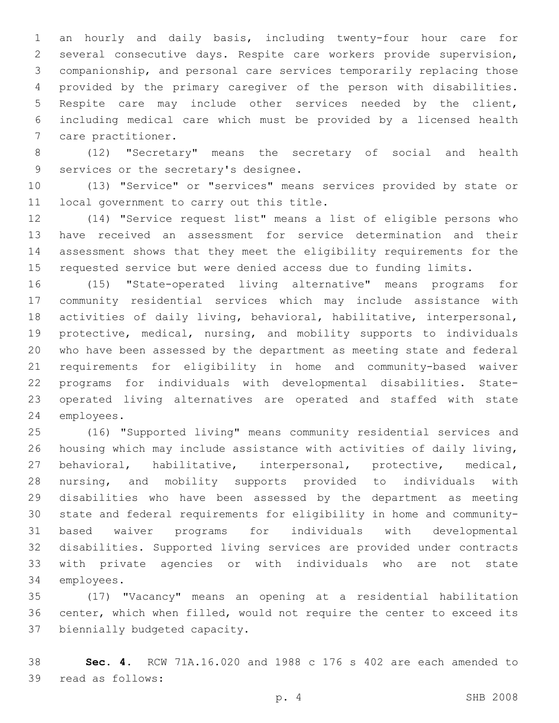an hourly and daily basis, including twenty-four hour care for several consecutive days. Respite care workers provide supervision, companionship, and personal care services temporarily replacing those provided by the primary caregiver of the person with disabilities. Respite care may include other services needed by the client, including medical care which must be provided by a licensed health 7 care practitioner.

 (12) "Secretary" means the secretary of social and health 9 services or the secretary's designee.

 (13) "Service" or "services" means services provided by state or 11 local government to carry out this title.

 (14) "Service request list" means a list of eligible persons who have received an assessment for service determination and their assessment shows that they meet the eligibility requirements for the requested service but were denied access due to funding limits.

 (15) "State-operated living alternative" means programs for community residential services which may include assistance with activities of daily living, behavioral, habilitative, interpersonal, protective, medical, nursing, and mobility supports to individuals who have been assessed by the department as meeting state and federal requirements for eligibility in home and community-based waiver programs for individuals with developmental disabilities. State- operated living alternatives are operated and staffed with state 24 employees.

 (16) "Supported living" means community residential services and housing which may include assistance with activities of daily living, behavioral, habilitative, interpersonal, protective, medical, nursing, and mobility supports provided to individuals with disabilities who have been assessed by the department as meeting state and federal requirements for eligibility in home and community- based waiver programs for individuals with developmental disabilities. Supported living services are provided under contracts with private agencies or with individuals who are not state 34 employees.

 (17) "Vacancy" means an opening at a residential habilitation center, which when filled, would not require the center to exceed its 37 biennially budgeted capacity.

 **Sec. 4.** RCW 71A.16.020 and 1988 c 176 s 402 are each amended to 39 read as follows: